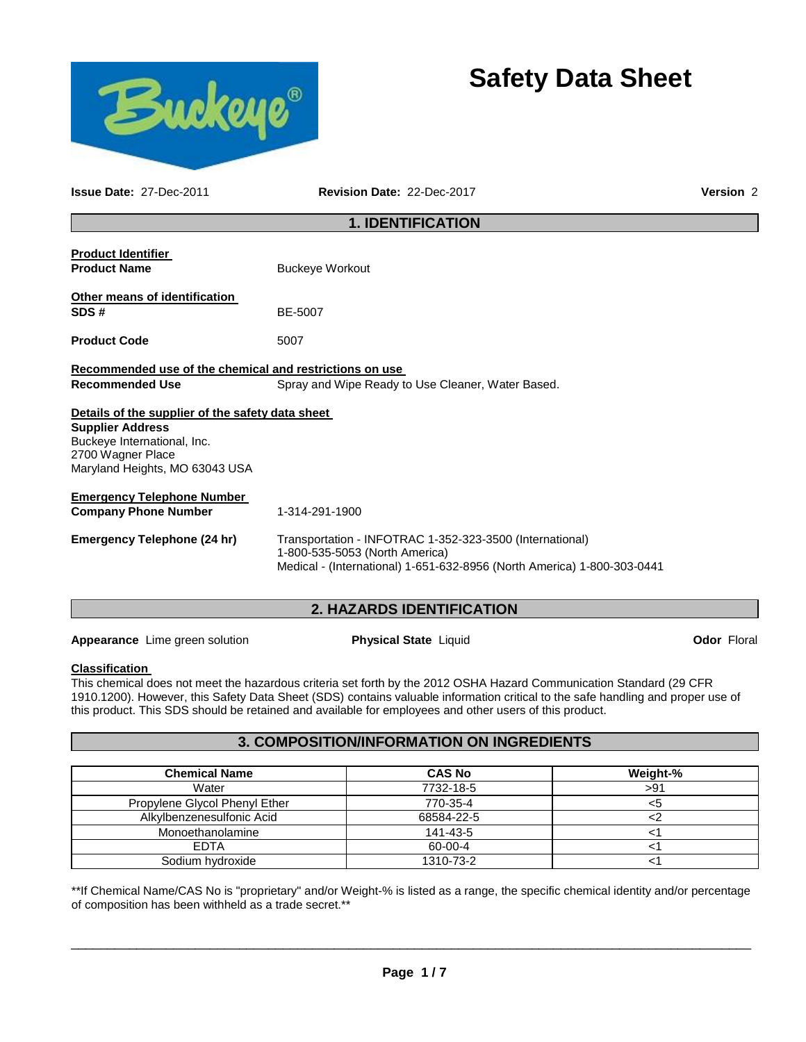



**Issue Date:** 27-Dec-2011 **Revision Date:** 22-Dec-2017 **Version** 2

## **1. IDENTIFICATION**

| <b>Product Identifier</b><br><b>Product Name</b>                                                                                                                  | <b>Buckeye Workout</b>                                                                                                                                                |
|-------------------------------------------------------------------------------------------------------------------------------------------------------------------|-----------------------------------------------------------------------------------------------------------------------------------------------------------------------|
| Other means of identification<br>SDS#                                                                                                                             | BE-5007                                                                                                                                                               |
| <b>Product Code</b>                                                                                                                                               | 5007                                                                                                                                                                  |
| Recommended use of the chemical and restrictions on use                                                                                                           |                                                                                                                                                                       |
| <b>Recommended Use</b>                                                                                                                                            | Spray and Wipe Ready to Use Cleaner, Water Based.                                                                                                                     |
| Details of the supplier of the safety data sheet<br><b>Supplier Address</b><br>Buckeye International, Inc.<br>2700 Wagner Place<br>Maryland Heights, MO 63043 USA |                                                                                                                                                                       |
| Emergency Telephone Number                                                                                                                                        |                                                                                                                                                                       |
| <b>Company Phone Number</b>                                                                                                                                       | 1-314-291-1900                                                                                                                                                        |
| Emergency Telephone (24 hr)                                                                                                                                       | Transportation - INFOTRAC 1-352-323-3500 (International)<br>1-800-535-5053 (North America)<br>Medical - (International) 1-651-632-8956 (North America) 1-800-303-0441 |

# **2. HAZARDS IDENTIFICATION**

**Appearance** Lime green solution **Physical State** Liquid **Constant Constant Constant Constant Constant Constant Constant Public Constant Constant Constant Constant Constant Public Constant Public Constant Constant Constant** 

## **Classification**

This chemical does not meet the hazardous criteria set forth by the 2012 OSHA Hazard Communication Standard (29 CFR 1910.1200). However, this Safety Data Sheet (SDS) contains valuable information critical to the safe handling and proper use of this product. This SDS should be retained and available for employees and other users of this product.

## **3. COMPOSITION/INFORMATION ON INGREDIENTS**

| <b>Chemical Name</b>          | <b>CAS No</b> | Weight-% |
|-------------------------------|---------------|----------|
| Water                         | 7732-18-5     | >91      |
| Propylene Glycol Phenyl Ether | 770-35-4      |          |
| Alkylbenzenesulfonic Acid     | 68584-22-5    |          |
| Monoethanolamine              | 141-43-5      |          |
| <b>EDTA</b>                   | 60-00-4       |          |
| Sodium hydroxide              | 1310-73-2     |          |

\*\*If Chemical Name/CAS No is "proprietary" and/or Weight-% is listed as a range, the specific chemical identity and/or percentage of composition has been withheld as a trade secret.\*\*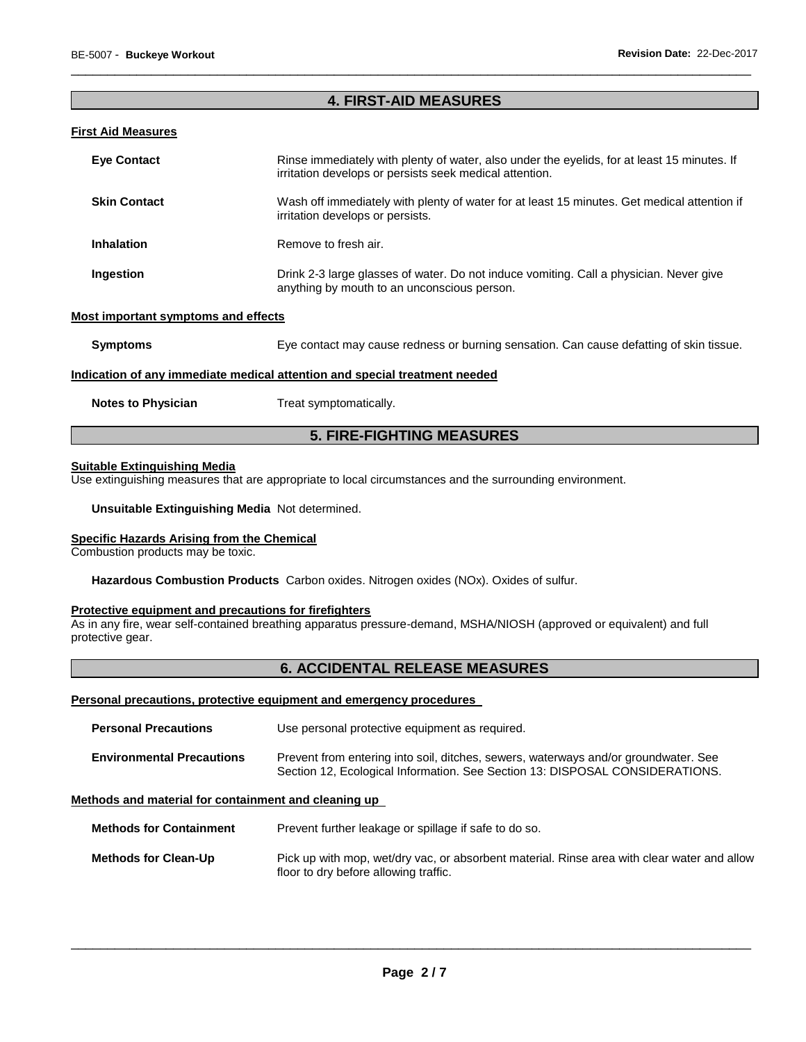## **4. FIRST-AID MEASURES**

\_\_\_\_\_\_\_\_\_\_\_\_\_\_\_\_\_\_\_\_\_\_\_\_\_\_\_\_\_\_\_\_\_\_\_\_\_\_\_\_\_\_\_\_\_\_\_\_\_\_\_\_\_\_\_\_\_\_\_\_\_\_\_\_\_\_\_\_\_\_\_\_\_\_\_\_\_\_\_\_\_\_\_\_\_\_\_\_\_\_\_\_\_

#### **First Aid Measures**

| <b>Eye Contact</b>  | Rinse immediately with plenty of water, also under the eyelids, for at least 15 minutes. If<br>irritation develops or persists seek medical attention. |
|---------------------|--------------------------------------------------------------------------------------------------------------------------------------------------------|
| <b>Skin Contact</b> | Wash off immediately with plenty of water for at least 15 minutes. Get medical attention if<br>irritation develops or persists.                        |
| <b>Inhalation</b>   | Remove to fresh air.                                                                                                                                   |
| Ingestion           | Drink 2-3 large glasses of water. Do not induce vomiting. Call a physician. Never give<br>anything by mouth to an unconscious person.                  |

#### **Most important symptoms and effects**

| <b>Symptoms</b>           | Eye contact may cause redness or burning sensation. Can cause defatting of skin tissue. |
|---------------------------|-----------------------------------------------------------------------------------------|
|                           | Indication of any immediate medical attention and special treatment needed              |
| <b>Notes to Physician</b> | Treat symptomatically.                                                                  |

## **5. FIRE-FIGHTING MEASURES**

## **Suitable Extinguishing Media**

Use extinguishing measures that are appropriate to local circumstances and the surrounding environment.

**Unsuitable Extinguishing Media** Not determined.

#### **Specific Hazards Arising from the Chemical**

Combustion products may be toxic.

**Hazardous Combustion Products** Carbon oxides. Nitrogen oxides (NOx). Oxides of sulfur.

#### **Protective equipment and precautions for firefighters**

As in any fire, wear self-contained breathing apparatus pressure-demand, MSHA/NIOSH (approved or equivalent) and full protective gear.

## **6. ACCIDENTAL RELEASE MEASURES**

#### **Personal precautions, protective equipment and emergency procedures**

| <b>Personal Precautions</b>      | Use personal protective equipment as required.                                                                                                                      |
|----------------------------------|---------------------------------------------------------------------------------------------------------------------------------------------------------------------|
| <b>Environmental Precautions</b> | Prevent from entering into soil, ditches, sewers, waterways and/or groundwater. See<br>Section 12, Ecological Information. See Section 13: DISPOSAL CONSIDERATIONS. |

## **Methods and material for containment and cleaning up**

**Methods for Containment** Prevent further leakage or spillage if safe to do so.

**Methods for Clean-Up** Pick up with mop, wet/dry vac, or absorbent material. Rinse area with clear water and allow floor to dry before allowing traffic.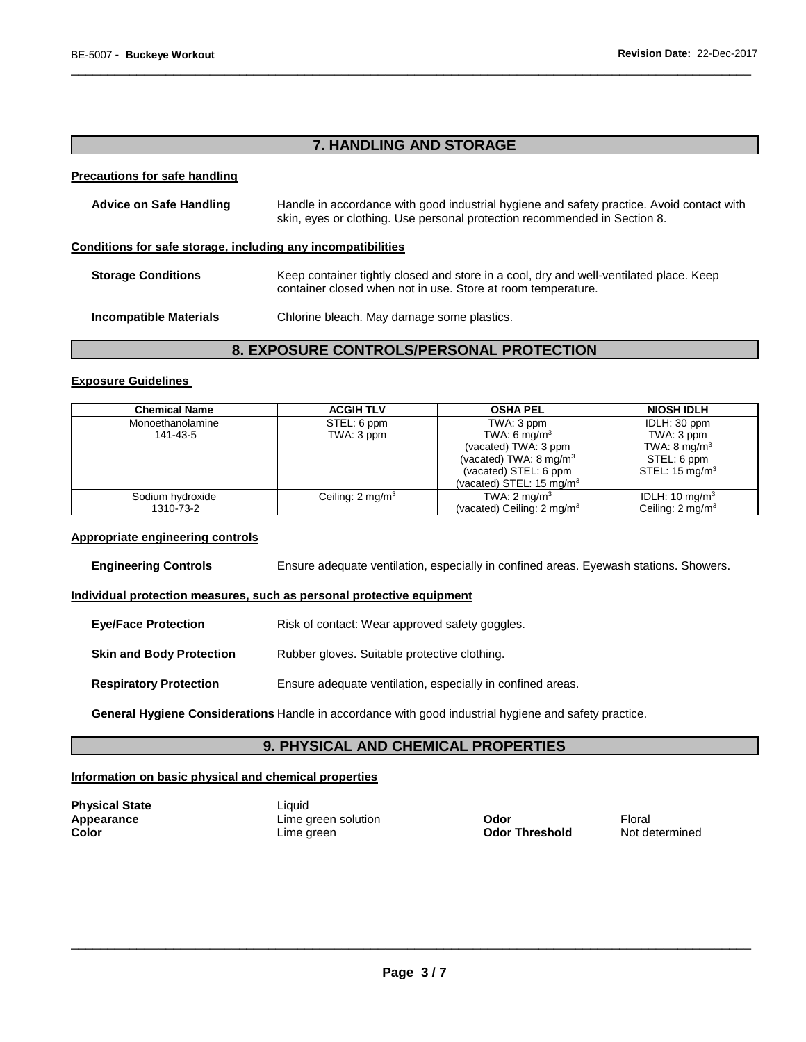## **7. HANDLING AND STORAGE**

\_\_\_\_\_\_\_\_\_\_\_\_\_\_\_\_\_\_\_\_\_\_\_\_\_\_\_\_\_\_\_\_\_\_\_\_\_\_\_\_\_\_\_\_\_\_\_\_\_\_\_\_\_\_\_\_\_\_\_\_\_\_\_\_\_\_\_\_\_\_\_\_\_\_\_\_\_\_\_\_\_\_\_\_\_\_\_\_\_\_\_\_\_

#### **Precautions for safe handling**

| <b>Advice on Safe Handling</b>                               | Handle in accordance with good industrial hygiene and safety practice. Avoid contact with<br>skin, eyes or clothing. Use personal protection recommended in Section 8. |  |
|--------------------------------------------------------------|------------------------------------------------------------------------------------------------------------------------------------------------------------------------|--|
| Conditions for safe storage, including any incompatibilities |                                                                                                                                                                        |  |
| <b>Storage Conditions</b>                                    | Keep container tightly closed and store in a cool, dry and well-ventilated place. Keep<br>container closed when not in use. Store at room temperature.                 |  |
| <b>Incompatible Materials</b>                                | Chlorine bleach. May damage some plastics.                                                                                                                             |  |

# **8. EXPOSURE CONTROLS/PERSONAL PROTECTION**

## **Exposure Guidelines**

| <b>Chemical Name</b> | <b>ACGIH TLV</b>            | <b>OSHA PEL</b>                       | <b>NIOSH IDLH</b>          |
|----------------------|-----------------------------|---------------------------------------|----------------------------|
| Monoethanolamine     | STEL: 6 ppm                 | TWA: 3 ppm                            | IDLH: 30 ppm               |
| 141-43-5             | TWA: 3 ppm                  | TWA: 6 mg/m <sup>3</sup>              | TWA: 3 ppm                 |
|                      |                             | (vacated) TWA: 3 ppm                  | TWA: $8 \text{ mg/m}^3$    |
|                      |                             | (vacated) TWA: $8 \text{ mg/m}^3$     | STEL: 6 ppm                |
|                      |                             | (vacated) STEL: 6 ppm                 | STEL: $15 \text{ mg/m}^3$  |
|                      |                             | (vacated) STEL: 15 mg/m $3$           |                            |
| Sodium hydroxide     | Ceiling: $2 \text{ mg/m}^3$ | TWA: $2 \text{ mq/m}^3$               | IDLH: 10 mg/m <sup>3</sup> |
| 1310-73-2            |                             | (vacated) Ceiling: $2 \text{ mg/m}^3$ | Ceiling: $2 \text{mq/m}^3$ |

#### **Appropriate engineering controls**

**Engineering Controls** Ensure adequate ventilation, especially in confined areas. Eyewash stations. Showers.

## **Individual protection measures, such as personal protective equipment**

| <b>Eye/Face Protection</b> | Risk of contact: Wear approved safety goggles. |
|----------------------------|------------------------------------------------|
|----------------------------|------------------------------------------------|

## **Skin and Body Protection** Rubber gloves. Suitable protective clothing.

#### **Respiratory Protection** Ensure adequate ventilation, especially in confined areas.

**General Hygiene Considerations** Handle in accordance with good industrial hygiene and safety practice.

# **9. PHYSICAL AND CHEMICAL PROPERTIES**

#### **Information on basic physical and chemical properties**

| Physical State |  |
|----------------|--|
| Appearance     |  |
| Color          |  |

Liquid **APPEARE SOLUTE:**<br>
Lime green solution **Color Threshold** Mot determined Lime green **Color Threshold**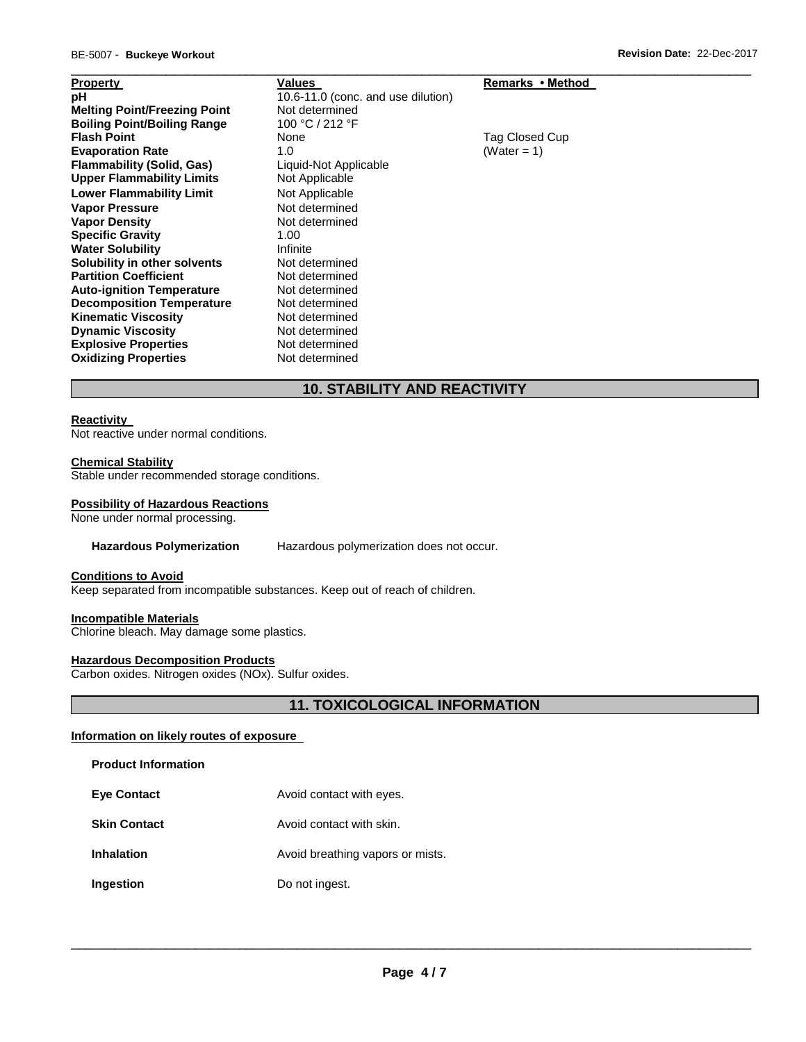| <b>Property</b>                     | Values                             | Remarks • Method |
|-------------------------------------|------------------------------------|------------------|
| рH                                  | 10.6-11.0 (conc. and use dilution) |                  |
| <b>Melting Point/Freezing Point</b> | Not determined                     |                  |
| <b>Boiling Point/Boiling Range</b>  | 100 °C / 212 °F                    |                  |
| <b>Flash Point</b>                  | None                               | Tag Closed Cup   |
| <b>Evaporation Rate</b>             | 1.0                                | (Water = 1)      |
| <b>Flammability (Solid, Gas)</b>    | Liquid-Not Applicable              |                  |
| <b>Upper Flammability Limits</b>    | Not Applicable                     |                  |
| <b>Lower Flammability Limit</b>     | Not Applicable                     |                  |
| <b>Vapor Pressure</b>               | Not determined                     |                  |
| <b>Vapor Density</b>                | Not determined                     |                  |
| <b>Specific Gravity</b>             | 1.00                               |                  |
| <b>Water Solubility</b>             | Infinite                           |                  |
| Solubility in other solvents        | Not determined                     |                  |
| <b>Partition Coefficient</b>        | Not determined                     |                  |
| <b>Auto-ignition Temperature</b>    | Not determined                     |                  |
| <b>Decomposition Temperature</b>    | Not determined                     |                  |
| <b>Kinematic Viscosity</b>          | Not determined                     |                  |
| <b>Dynamic Viscosity</b>            | Not determined                     |                  |
| <b>Explosive Properties</b>         | Not determined                     |                  |
| <b>Oxidizing Properties</b>         | Not determined                     |                  |

## **10. STABILITY AND REACTIVITY**

#### **Reactivity**

Not reactive under normal conditions.

## **Chemical Stability**

Stable under recommended storage conditions.

#### **Possibility of Hazardous Reactions**

None under normal processing.

#### **Hazardous Polymerization** Hazardous polymerization does not occur.

#### **Conditions to Avoid**

Keep separated from incompatible substances. Keep out of reach of children.

## **Incompatible Materials**

Chlorine bleach. May damage some plastics.

#### **Hazardous Decomposition Products**

Carbon oxides. Nitrogen oxides (NOx). Sulfur oxides.

## **11. TOXICOLOGICAL INFORMATION**

## **Information on likely routes of exposure**

## **Product Information**

- **Eye Contact Avoid contact with eyes.**
- **Skin Contact Avoid contact with skin.**
- **Inhalation Avoid breathing vapors or mists.**
- **Ingestion Do not ingest.**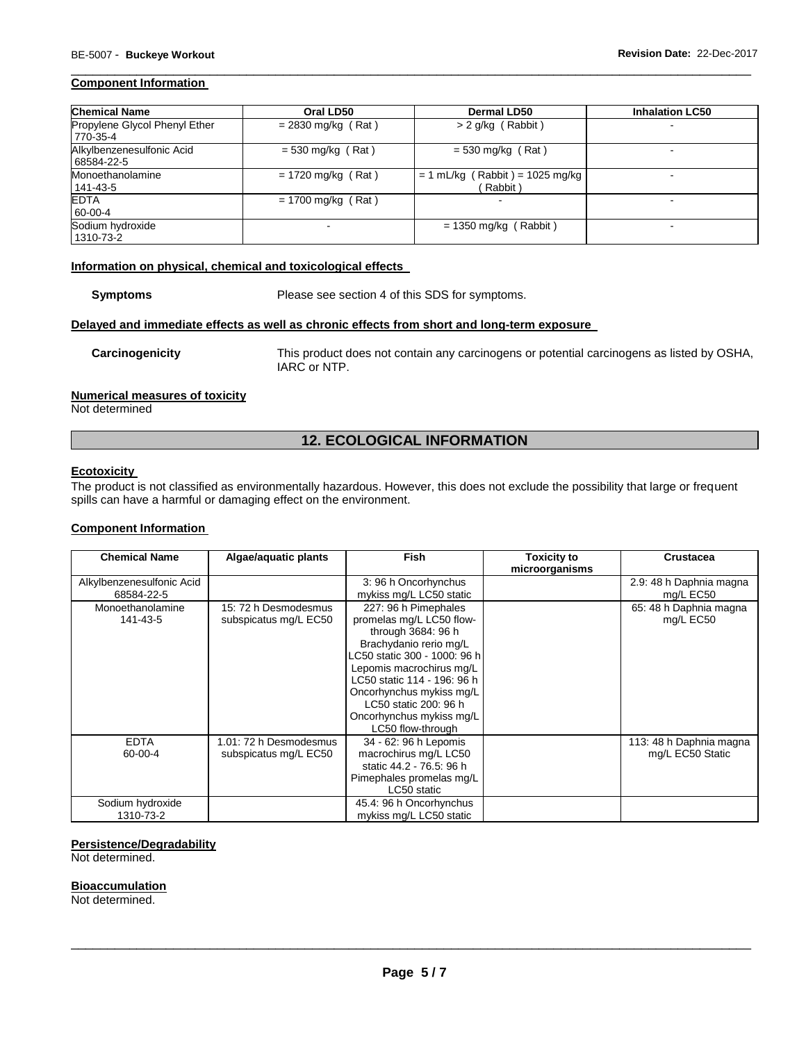#### **Component Information**

| <b>Chemical Name</b>                      | Oral LD50            | Dermal LD50                                  | <b>Inhalation LC50</b> |
|-------------------------------------------|----------------------|----------------------------------------------|------------------------|
| Propylene Glycol Phenyl Ether<br>770-35-4 | $= 2830$ mg/kg (Rat) | $> 2$ g/kg (Rabbit)                          |                        |
| Alkylbenzenesulfonic Acid<br>68584-22-5   | $= 530$ mg/kg (Rat)  | $= 530$ mg/kg (Rat)                          |                        |
| Monoethanolamine<br>141-43-5              | $= 1720$ mg/kg (Rat) | $= 1$ mL/kg (Rabbit) = 1025 mg/kg<br>Rabbit) |                        |
| <b>EDTA</b><br>60-00-4                    | $= 1700$ mg/kg (Rat) | $\overline{\phantom{0}}$                     |                        |
| Sodium hydroxide<br>1310-73-2             |                      | $= 1350$ mg/kg (Rabbit)                      |                        |

\_\_\_\_\_\_\_\_\_\_\_\_\_\_\_\_\_\_\_\_\_\_\_\_\_\_\_\_\_\_\_\_\_\_\_\_\_\_\_\_\_\_\_\_\_\_\_\_\_\_\_\_\_\_\_\_\_\_\_\_\_\_\_\_\_\_\_\_\_\_\_\_\_\_\_\_\_\_\_\_\_\_\_\_\_\_\_\_\_\_\_\_\_

#### **Information on physical, chemical and toxicological effects**

**Symptoms** Please see section 4 of this SDS for symptoms.

**Delayed and immediate effects as well as chronic effects from short and long-term exposure** 

**Carcinogenicity** This product does not contain any carcinogens or potential carcinogens as listed by OSHA, IARC or NTP.

#### **Numerical measures of toxicity**

Not determined

## **12. ECOLOGICAL INFORMATION**

#### **Ecotoxicity**

The product is not classified as environmentally hazardous. However, this does not exclude the possibility that large or frequent spills can have a harmful or damaging effect on the environment.

## **Component Information**

| <b>Chemical Name</b>      | Algae/aquatic plants   | <b>Fish</b>                  | <b>Toxicity to</b> | <b>Crustacea</b>        |
|---------------------------|------------------------|------------------------------|--------------------|-------------------------|
|                           |                        |                              | microorganisms     |                         |
| Alkylbenzenesulfonic Acid |                        | 3: 96 h Oncorhynchus         |                    | 2.9: 48 h Daphnia magna |
| 68584-22-5                |                        | mykiss mg/L LC50 static      |                    | mg/L EC50               |
| Monoethanolamine          | 15: 72 h Desmodesmus   | 227: 96 h Pimephales         |                    | 65: 48 h Daphnia magna  |
| 141-43-5                  | subspicatus mg/L EC50  | promelas mg/L LC50 flow-     |                    | mg/L EC50               |
|                           |                        | through 3684: 96 h           |                    |                         |
|                           |                        | Brachydanio rerio mg/L       |                    |                         |
|                           |                        | LC50 static 300 - 1000: 96 h |                    |                         |
|                           |                        | Lepomis macrochirus mg/L     |                    |                         |
|                           |                        | LC50 static 114 - 196: 96 h  |                    |                         |
|                           |                        | Oncorhynchus mykiss mg/L     |                    |                         |
|                           |                        | LC50 static 200: 96 h        |                    |                         |
|                           |                        | Oncorhynchus mykiss mg/L     |                    |                         |
|                           |                        | LC50 flow-through            |                    |                         |
| <b>EDTA</b>               | 1.01: 72 h Desmodesmus | 34 - 62: 96 h Lepomis        |                    | 113: 48 h Daphnia magna |
| 60-00-4                   | subspicatus mg/L EC50  | macrochirus mg/L LC50        |                    | mg/L EC50 Static        |
|                           |                        | static 44.2 - 76.5: 96 h     |                    |                         |
|                           |                        | Pimephales promelas mg/L     |                    |                         |
|                           |                        | LC50 static                  |                    |                         |
| Sodium hydroxide          |                        | 45.4: 96 h Oncorhynchus      |                    |                         |
| 1310-73-2                 |                        | mykiss mg/L LC50 static      |                    |                         |

## **Persistence/Degradability**

Not determined.

#### **Bioaccumulation**

Not determined.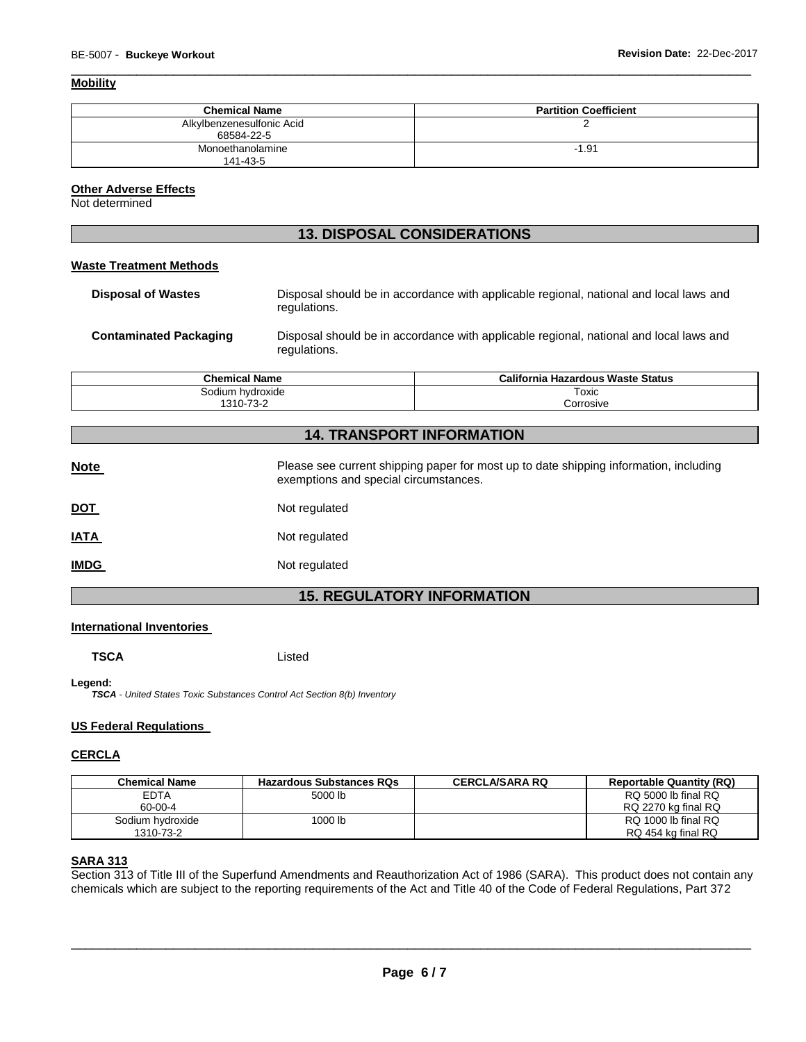## **Mobility**

| <b>Chemical Name</b>                    | <b>Partition Coefficient</b> |
|-----------------------------------------|------------------------------|
| Alkylbenzenesulfonic Acid<br>68584-22-5 |                              |
| Monoethanolamine<br>141-43-5            | $-1.91$                      |

\_\_\_\_\_\_\_\_\_\_\_\_\_\_\_\_\_\_\_\_\_\_\_\_\_\_\_\_\_\_\_\_\_\_\_\_\_\_\_\_\_\_\_\_\_\_\_\_\_\_\_\_\_\_\_\_\_\_\_\_\_\_\_\_\_\_\_\_\_\_\_\_\_\_\_\_\_\_\_\_\_\_\_\_\_\_\_\_\_\_\_\_\_

## **Other Adverse Effects**

Not determined

## **13. DISPOSAL CONSIDERATIONS**

## **Waste Treatment Methods**

| <b>Disposal of Wastes</b>     | Disposal should be in accordance with applicable regional, national and local laws and<br>regulations. |  |  |
|-------------------------------|--------------------------------------------------------------------------------------------------------|--|--|
| <b>Contaminated Packaging</b> | Disposal should be in accordance with applicable regional, national and local laws and                 |  |  |

regulations.

**Chemical Name California Hazardous Waste Status**  Sodium hydroxide 1310-73-2 Toxic Corrosive

# **14. TRANSPORT INFORMATION**

| <b>Note</b> | Please see current shipping paper for most up to date shipping information, including<br>exemptions and special circumstances. |
|-------------|--------------------------------------------------------------------------------------------------------------------------------|
| <u>DOT</u>  | Not regulated                                                                                                                  |
| <u>IATA</u> | Not regulated                                                                                                                  |
| <u>IMDG</u> | Not regulated                                                                                                                  |

# **15. REGULATORY INFORMATION**

## **International Inventories**

**TSCA** Listed

**Legend:** 

*TSCA - United States Toxic Substances Control Act Section 8(b) Inventory* 

## **US Federal Regulations**

## **CERCLA**

| <b>Chemical Name</b> | <b>Hazardous Substances RQs</b> | <b>CERCLA/SARA RQ</b> | <b>Reportable Quantity (RQ)</b> |
|----------------------|---------------------------------|-----------------------|---------------------------------|
| <b>EDTA</b>          | 5000 lb                         |                       | RQ 5000 lb final RQ             |
| 60-00-4              |                                 |                       | RQ 2270 kg final RQ             |
| Sodium hvdroxide     | 1000 lb                         |                       | RQ 1000 lb final RQ             |
| 1310-73-2            |                                 |                       | RQ 454 kg final RQ              |

## **SARA 313**

Section 313 of Title III of the Superfund Amendments and Reauthorization Act of 1986 (SARA). This product does not contain any chemicals which are subject to the reporting requirements of the Act and Title 40 of the Code of Federal Regulations, Part 372